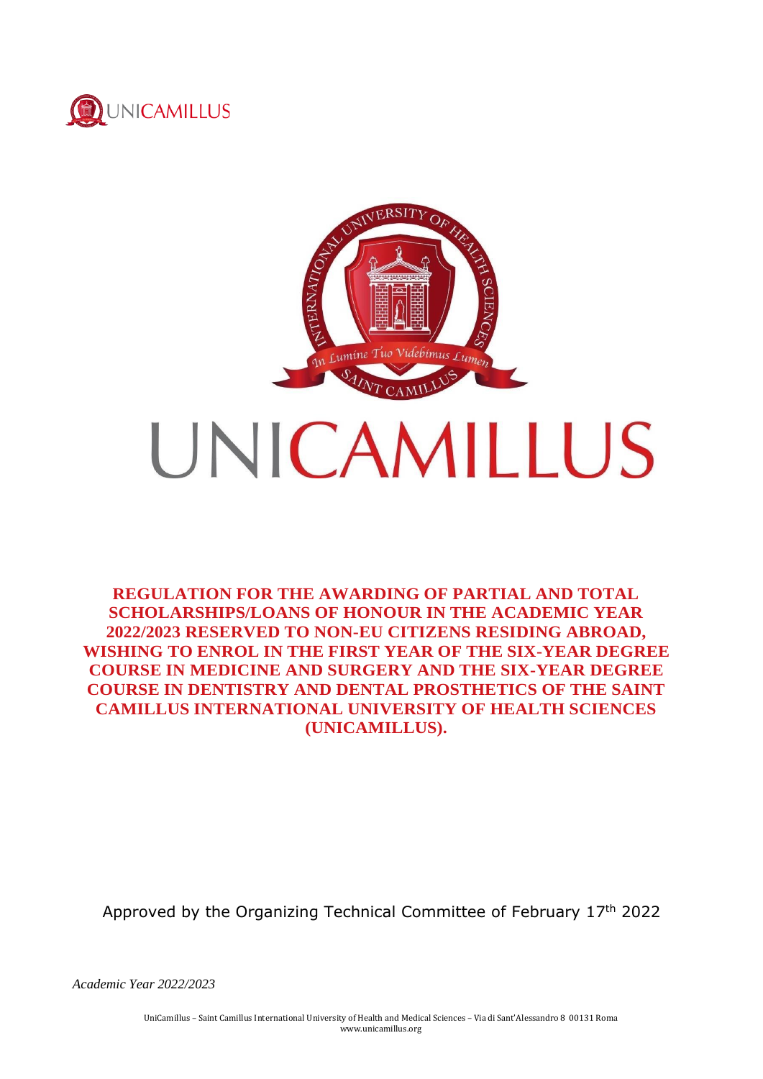



**REGULATION FOR THE AWARDING OF PARTIAL AND TOTAL SCHOLARSHIPS/LOANS OF HONOUR IN THE ACADEMIC YEAR 2022/2023 RESERVED TO NON-EU CITIZENS RESIDING ABROAD, WISHING TO ENROL IN THE FIRST YEAR OF THE SIX-YEAR DEGREE COURSE IN MEDICINE AND SURGERY AND THE SIX-YEAR DEGREE COURSE IN DENTISTRY AND DENTAL PROSTHETICS OF THE SAINT CAMILLUS INTERNATIONAL UNIVERSITY OF HEALTH SCIENCES (UNICAMILLUS).**

Approved by the Organizing Technical Committee of February 17th 2022

*Academic Year 2022/2023*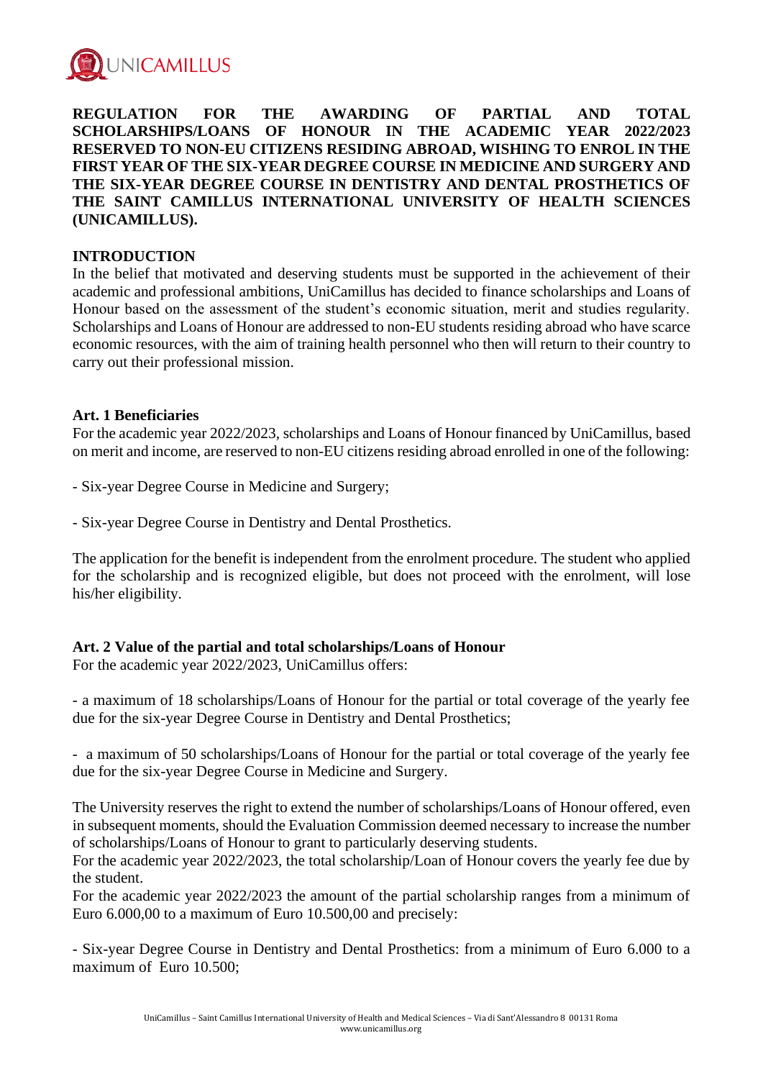

**REGULATION FOR THE AWARDING OF PARTIAL AND TOTAL SCHOLARSHIPS/LOANS OF HONOUR IN THE ACADEMIC YEAR 2022/2023 RESERVED TO NON-EU CITIZENS RESIDING ABROAD, WISHING TO ENROL IN THE FIRST YEAR OF THE SIX-YEAR DEGREE COURSE IN MEDICINE AND SURGERY AND THE SIX-YEAR DEGREE COURSE IN DENTISTRY AND DENTAL PROSTHETICS OF THE SAINT CAMILLUS INTERNATIONAL UNIVERSITY OF HEALTH SCIENCES (UNICAMILLUS).**

### **INTRODUCTION**

In the belief that motivated and deserving students must be supported in the achievement of their academic and professional ambitions, UniCamillus has decided to finance scholarships and Loans of Honour based on the assessment of the student's economic situation, merit and studies regularity. Scholarships and Loans of Honour are addressed to non-EU students residing abroad who have scarce economic resources, with the aim of training health personnel who then will return to their country to carry out their professional mission.

#### **Art. 1 Beneficiaries**

For the academic year 2022/2023, scholarships and Loans of Honour financed by UniCamillus, based on merit and income, are reserved to non-EU citizens residing abroad enrolled in one of the following:

- Six-year Degree Course in Medicine and Surgery;

- Six-year Degree Course in Dentistry and Dental Prosthetics.

The application for the benefit is independent from the enrolment procedure. The student who applied for the scholarship and is recognized eligible, but does not proceed with the enrolment, will lose his/her eligibility.

# **Art. 2 Value of the partial and total scholarships/Loans of Honour**

For the academic year 2022/2023, UniCamillus offers:

- a maximum of 18 scholarships/Loans of Honour for the partial or total coverage of the yearly fee due for the six-year Degree Course in Dentistry and Dental Prosthetics;

- a maximum of 50 scholarships/Loans of Honour for the partial or total coverage of the yearly fee due for the six-year Degree Course in Medicine and Surgery.

The University reserves the right to extend the number of scholarships/Loans of Honour offered, even in subsequent moments, should the Evaluation Commission deemed necessary to increase the number of scholarships/Loans of Honour to grant to particularly deserving students.

For the academic year 2022/2023, the total scholarship/Loan of Honour covers the yearly fee due by the student.

For the academic year 2022/2023 the amount of the partial scholarship ranges from a minimum of Euro 6.000,00 to a maximum of Euro 10.500,00 and precisely:

- Six-year Degree Course in Dentistry and Dental Prosthetics: from a minimum of Euro 6.000 to a maximum of Euro 10.500;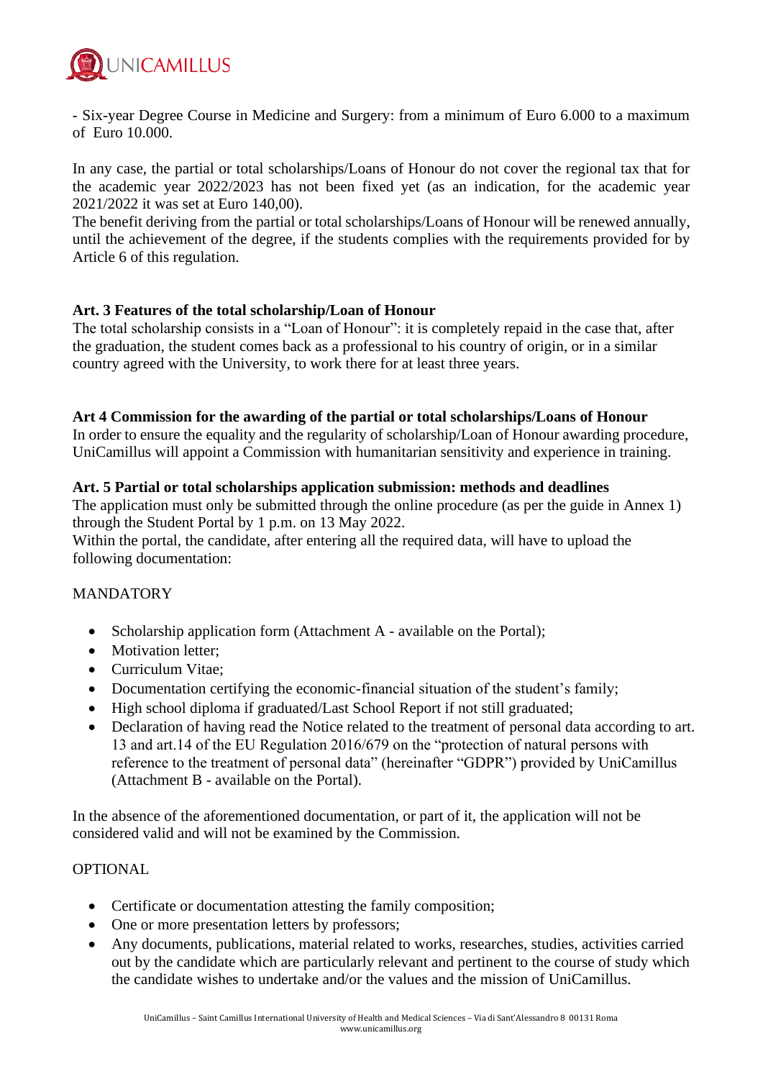

- Six-year Degree Course in Medicine and Surgery: from a minimum of Euro 6.000 to a maximum of Euro 10.000.

In any case, the partial or total scholarships/Loans of Honour do not cover the regional tax that for the academic year 2022/2023 has not been fixed yet (as an indication, for the academic year 2021/2022 it was set at Euro 140,00).

The benefit deriving from the partial or total scholarships/Loans of Honour will be renewed annually, until the achievement of the degree, if the students complies with the requirements provided for by Article 6 of this regulation.

# **Art. 3 Features of the total scholarship/Loan of Honour**

The total scholarship consists in a "Loan of Honour": it is completely repaid in the case that, after the graduation, the student comes back as a professional to his country of origin, or in a similar country agreed with the University, to work there for at least three years.

#### **Art 4 Commission for the awarding of the partial or total scholarships/Loans of Honour**

In order to ensure the equality and the regularity of scholarship/Loan of Honour awarding procedure, UniCamillus will appoint a Commission with humanitarian sensitivity and experience in training.

#### **Art. 5 Partial or total scholarships application submission: methods and deadlines**

The application must only be submitted through the online procedure (as per the guide in Annex 1) through the Student Portal by 1 p.m. on 13 May 2022.

Within the portal, the candidate, after entering all the required data, will have to upload the following documentation:

#### MANDATORY

- Scholarship application form (Attachment A available on the Portal);
- Motivation letter:
- Curriculum Vitae;
- Documentation certifying the economic-financial situation of the student's family;
- High school diploma if graduated/Last School Report if not still graduated;
- Declaration of having read the Notice related to the treatment of personal data according to art. 13 and art.14 of the EU Regulation 2016/679 on the "protection of natural persons with reference to the treatment of personal data" (hereinafter "GDPR") provided by UniCamillus (Attachment B - available on the Portal).

In the absence of the aforementioned documentation, or part of it, the application will not be considered valid and will not be examined by the Commission.

#### **OPTIONAL**

- Certificate or documentation attesting the family composition;
- One or more presentation letters by professors;
- Any documents, publications, material related to works, researches, studies, activities carried out by the candidate which are particularly relevant and pertinent to the course of study which the candidate wishes to undertake and/or the values and the mission of UniCamillus.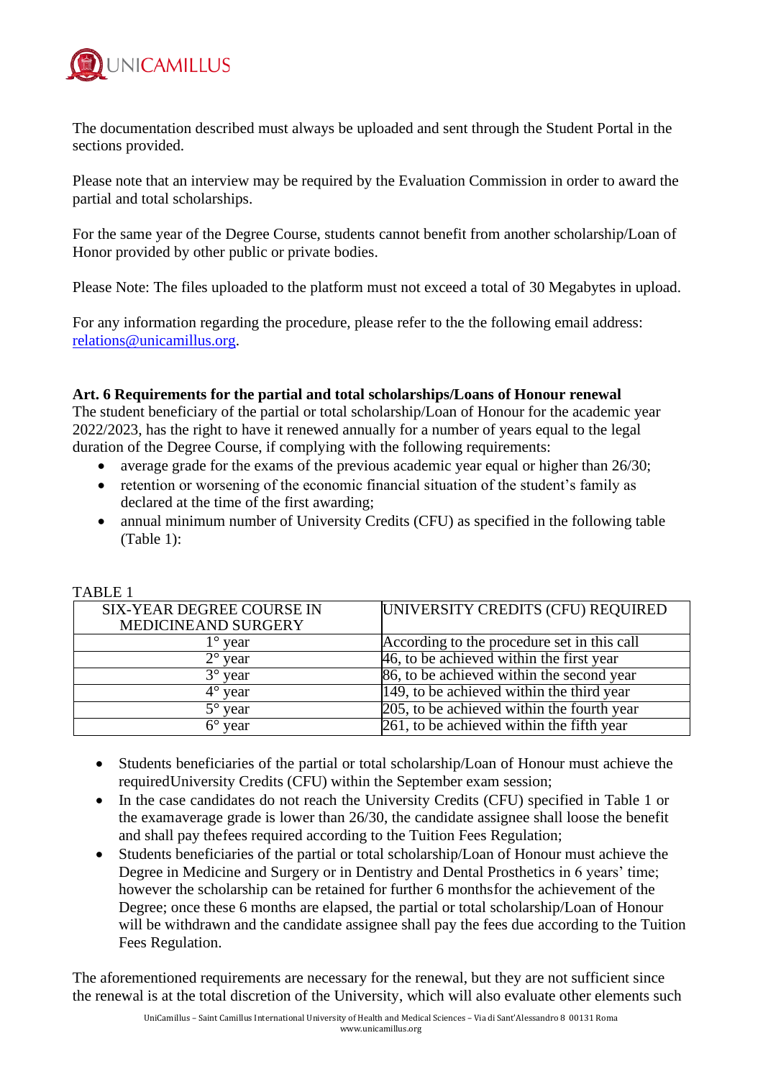

The documentation described must always be uploaded and sent through the Student Portal in the sections provided.

Please note that an interview may be required by the Evaluation Commission in order to award the partial and total scholarships.

For the same year of the Degree Course, students cannot benefit from another scholarship/Loan of Honor provided by other public or private bodies.

Please Note: The files uploaded to the platform must not exceed a total of 30 Megabytes in upload.

For any information regarding the procedure, please refer to the the following email address: [relations@unicamillus.org.](mailto:relations@unicamillus.org)

## **Art. 6 Requirements for the partial and total scholarships/Loans of Honour renewal**

The student beneficiary of the partial or total scholarship/Loan of Honour for the academic year 2022/2023, has the right to have it renewed annually for a number of years equal to the legal duration of the Degree Course, if complying with the following requirements:

- average grade for the exams of the previous academic year equal or higher than 26/30;
- retention or worsening of the economic financial situation of the student's family as declared at the time of the first awarding;
- annual minimum number of University Credits (CFU) as specified in the following table (Table 1):

| TABLE I                          |                                             |
|----------------------------------|---------------------------------------------|
| <b>SIX-YEAR DEGREE COURSE IN</b> | UNIVERSITY CREDITS (CFU) REQUIRED           |
| MEDICINEAND SURGERY              |                                             |
| year                             | According to the procedure set in this call |
| $2^{\circ}$ year                 | 46, to be achieved within the first year    |
| $3^{\circ}$ year                 | 86, to be achieved within the second year   |
| $4^{\circ}$ year                 | 149, to be achieved within the third year   |
| $5^{\circ}$ year                 | 205, to be achieved within the fourth year  |
| $6^{\circ}$ year                 | 261, to be achieved within the fifth year   |

# $T_{\rm{max}}$

- Students beneficiaries of the partial or total scholarship/Loan of Honour must achieve the requiredUniversity Credits (CFU) within the September exam session;
- In the case candidates do not reach the University Credits (CFU) specified in Table 1 or the examaverage grade is lower than 26/30, the candidate assignee shall loose the benefit and shall pay thefees required according to the Tuition Fees Regulation;
- Students beneficiaries of the partial or total scholarship/Loan of Honour must achieve the Degree in Medicine and Surgery or in Dentistry and Dental Prosthetics in 6 years' time; however the scholarship can be retained for further 6 monthsfor the achievement of the Degree; once these 6 months are elapsed, the partial or total scholarship/Loan of Honour will be withdrawn and the candidate assignee shall pay the fees due according to the Tuition Fees Regulation.

The aforementioned requirements are necessary for the renewal, but they are not sufficient since the renewal is at the total discretion of the University, which will also evaluate other elements such